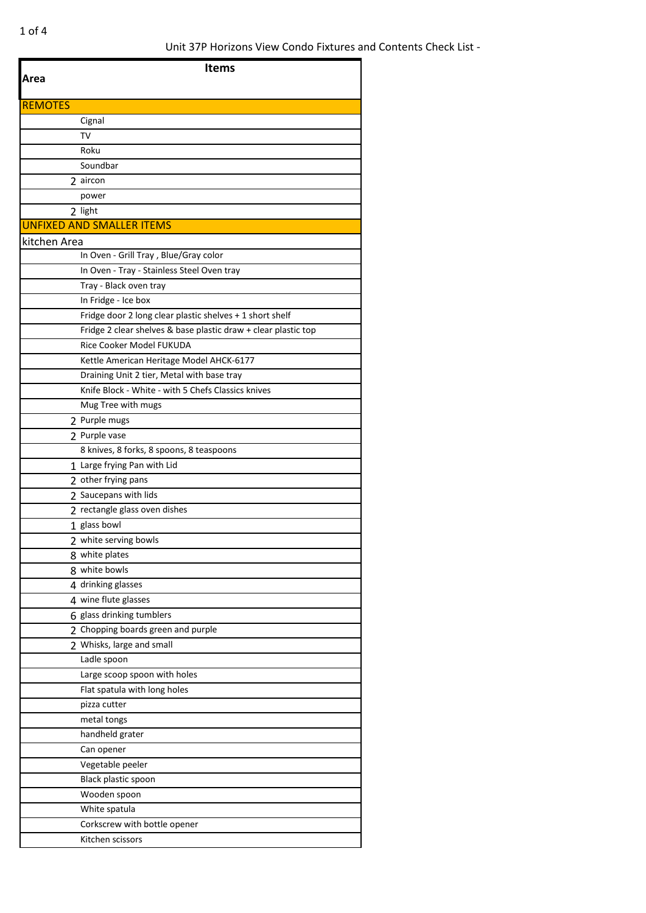| Area           | <b>Items</b>                                                   |
|----------------|----------------------------------------------------------------|
| <b>REMOTES</b> |                                                                |
|                | Cignal                                                         |
|                | TV                                                             |
|                | Roku                                                           |
|                | Soundbar                                                       |
|                | 2 aircon                                                       |
|                | power                                                          |
|                | 2 light                                                        |
|                | <b>UNFIXED AND SMALLER ITEMS</b>                               |
| kitchen Area   |                                                                |
|                | In Oven - Grill Tray, Blue/Gray color                          |
|                | In Oven - Tray - Stainless Steel Oven tray                     |
|                | Tray - Black oven tray                                         |
|                | In Fridge - Ice box                                            |
|                | Fridge door 2 long clear plastic shelves + 1 short shelf       |
|                | Fridge 2 clear shelves & base plastic draw + clear plastic top |
|                | Rice Cooker Model FUKUDA                                       |
|                | Kettle American Heritage Model AHCK-6177                       |
|                | Draining Unit 2 tier, Metal with base tray                     |
|                | Knife Block - White - with 5 Chefs Classics knives             |
|                | Mug Tree with mugs                                             |
|                | 2 Purple mugs                                                  |
|                | 2 Purple vase                                                  |
|                | 8 knives, 8 forks, 8 spoons, 8 teaspoons                       |
|                | 1 Large frying Pan with Lid                                    |
|                | 2 other frying pans                                            |
|                | 2 Saucepans with lids                                          |
|                | 2 rectangle glass oven dishes                                  |
|                | 1 glass bowl                                                   |
|                | $\overline{2}$ white serving bowls                             |
|                | 8 white plates                                                 |
|                | 8 white bowls                                                  |
|                | 4 drinking glasses                                             |
|                | 4 wine flute glasses                                           |
|                | 6 glass drinking tumblers                                      |
|                | 2 Chopping boards green and purple                             |
|                | 2 Whisks, large and small                                      |
|                | Ladle spoon                                                    |
|                | Large scoop spoon with holes                                   |
|                | Flat spatula with long holes                                   |
|                | pizza cutter                                                   |
|                | metal tongs                                                    |
|                | handheld grater                                                |
|                | Can opener                                                     |
|                | Vegetable peeler                                               |
|                | Black plastic spoon                                            |
|                | Wooden spoon                                                   |
|                | White spatula                                                  |
|                | Corkscrew with bottle opener                                   |
|                | Kitchen scissors                                               |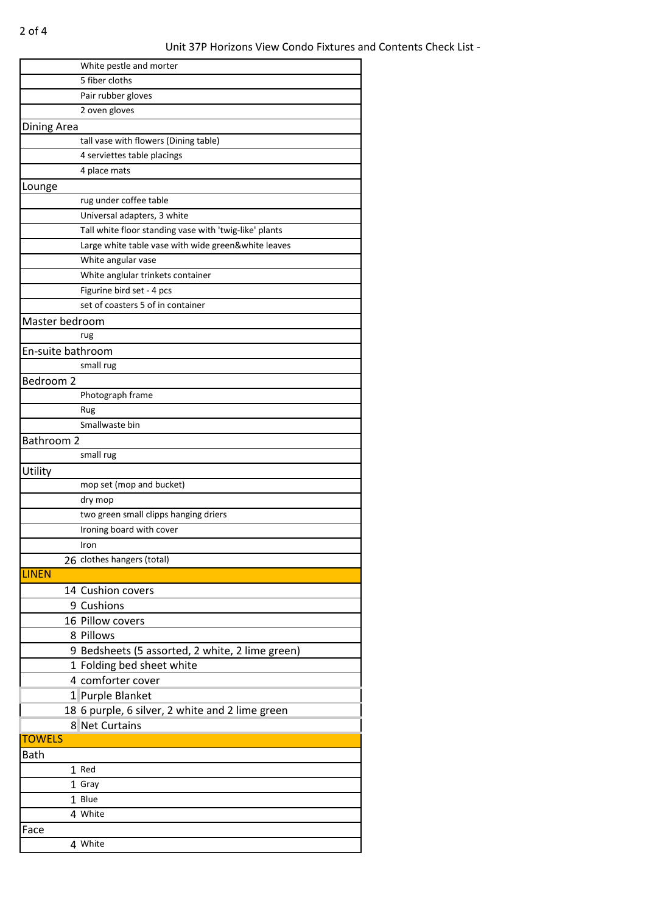|                   | White pestle and morter                                |
|-------------------|--------------------------------------------------------|
|                   | 5 fiber cloths                                         |
|                   | Pair rubber gloves                                     |
|                   | 2 oven gloves                                          |
| Dining Area       |                                                        |
|                   | tall vase with flowers (Dining table)                  |
|                   | 4 serviettes table placings                            |
|                   | 4 place mats                                           |
| Lounge            |                                                        |
|                   | rug under coffee table                                 |
|                   | Universal adapters, 3 white                            |
|                   | Tall white floor standing vase with 'twig-like' plants |
|                   | Large white table vase with wide green&white leaves    |
|                   | White angular vase                                     |
|                   |                                                        |
|                   | White anglular trinkets container                      |
|                   | Figurine bird set - 4 pcs                              |
|                   | set of coasters 5 of in container                      |
| Master bedroom    |                                                        |
|                   | rug                                                    |
| En-suite bathroom |                                                        |
|                   | small rug                                              |
| Bedroom 2         |                                                        |
|                   | Photograph frame                                       |
|                   | Rug                                                    |
|                   | Smallwaste bin                                         |
| Bathroom 2        |                                                        |
|                   | small rug                                              |
| Utility           |                                                        |
|                   | mop set (mop and bucket)                               |
|                   | dry mop                                                |
|                   | two green small clipps hanging driers                  |
|                   | Ironing board with cover                               |
|                   | Iron                                                   |
|                   | 26 clothes hangers (total)                             |
| <b>LINEN</b>      |                                                        |
|                   | 14 Cushion covers                                      |
|                   |                                                        |
|                   | 9 Cushions                                             |
|                   | 16 Pillow covers                                       |
|                   | 8 Pillows                                              |
|                   | 9 Bedsheets (5 assorted, 2 white, 2 lime green)        |
|                   | 1 Folding bed sheet white                              |
|                   | 4 comforter cover                                      |
|                   | 1 Purple Blanket                                       |
|                   | 18 6 purple, 6 silver, 2 white and 2 lime green        |
|                   | 8 Net Curtains                                         |
| <b>TOWELS</b>     |                                                        |
| <b>Bath</b>       |                                                        |
|                   | 1 Red                                                  |
|                   | 1 Gray                                                 |
|                   | 1 Blue                                                 |
|                   | 4 White                                                |
| Face              |                                                        |
|                   | 4 White                                                |
|                   |                                                        |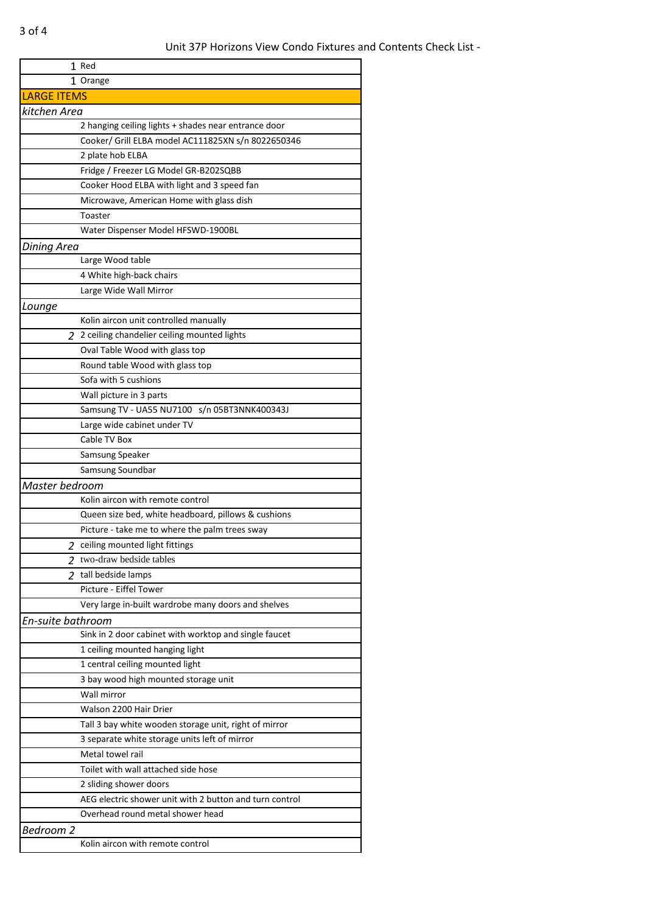|                    | 1 Red                                                                             |
|--------------------|-----------------------------------------------------------------------------------|
|                    | 1 Orange                                                                          |
| <b>LARGE ITEMS</b> |                                                                                   |
| kitchen Area       |                                                                                   |
|                    | 2 hanging ceiling lights + shades near entrance door                              |
|                    | Cooker/ Grill ELBA model AC111825XN s/n 8022650346                                |
|                    | 2 plate hob ELBA                                                                  |
|                    | Fridge / Freezer LG Model GR-B202SQBB                                             |
|                    | Cooker Hood ELBA with light and 3 speed fan                                       |
|                    | Microwave, American Home with glass dish                                          |
|                    | Toaster                                                                           |
|                    | Water Dispenser Model HFSWD-1900BL                                                |
| <b>Dining Area</b> |                                                                                   |
|                    | Large Wood table                                                                  |
|                    | 4 White high-back chairs                                                          |
|                    | Large Wide Wall Mirror                                                            |
| Lounge             |                                                                                   |
|                    | Kolin aircon unit controlled manually                                             |
|                    | 2 2 ceiling chandelier ceiling mounted lights                                     |
|                    | Oval Table Wood with glass top                                                    |
|                    | Round table Wood with glass top                                                   |
|                    | Sofa with 5 cushions                                                              |
|                    | Wall picture in 3 parts                                                           |
|                    | Samsung TV - UA55 NU7100 s/n 05BT3NNK400343J                                      |
|                    | Large wide cabinet under TV                                                       |
|                    | Cable TV Box                                                                      |
|                    | Samsung Speaker                                                                   |
|                    | Samsung Soundbar                                                                  |
| Master bedroom     |                                                                                   |
|                    | Kolin aircon with remote control                                                  |
|                    | Queen size bed, white headboard, pillows & cushions                               |
|                    | Picture - take me to where the palm trees sway                                    |
|                    | 2 ceiling mounted light fittings                                                  |
|                    | 2 two-draw bedside tables                                                         |
|                    | 2 tall bedside lamps                                                              |
|                    | Picture - Eiffel Tower                                                            |
|                    | Very large in-built wardrobe many doors and shelves                               |
|                    |                                                                                   |
| En-suite bathroom  | Sink in 2 door cabinet with worktop and single faucet                             |
|                    | 1 ceiling mounted hanging light                                                   |
|                    | 1 central ceiling mounted light                                                   |
|                    | 3 bay wood high mounted storage unit                                              |
|                    | Wall mirror                                                                       |
|                    | Walson 2200 Hair Drier                                                            |
|                    | Tall 3 bay white wooden storage unit, right of mirror                             |
|                    |                                                                                   |
|                    | 3 separate white storage units left of mirror<br>Metal towel rail                 |
|                    | Toilet with wall attached side hose                                               |
|                    |                                                                                   |
|                    | 2 sliding shower doors<br>AEG electric shower unit with 2 button and turn control |
|                    |                                                                                   |
|                    | Overhead round metal shower head                                                  |
| Bedroom 2          |                                                                                   |
|                    | Kolin aircon with remote control                                                  |